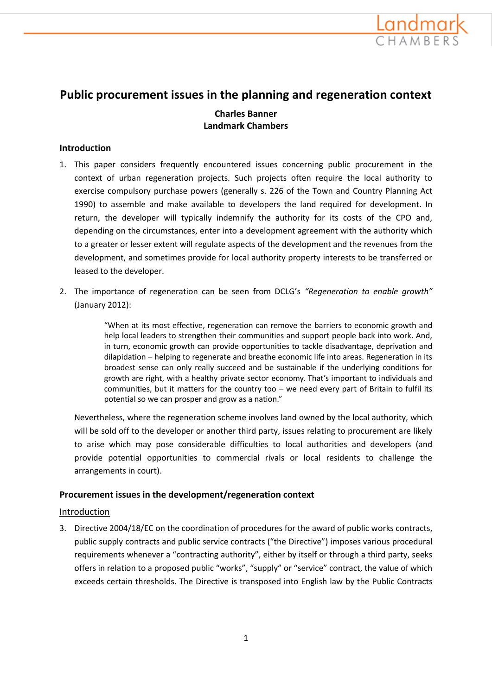

# **Public procurement issues in the planning and regeneration context**

# **Charles Banner Landmark Chambers**

### **Introduction**

- 1. This paper considers frequently encountered issues concerning public procurement in the context of urban regeneration projects. Such projects often require the local authority to exercise compulsory purchase powers (generally s. 226 of the Town and Country Planning Act 1990) to assemble and make available to developers the land required for development. In return, the developer will typically indemnify the authority for its costs of the CPO and, depending on the circumstances, enter into a development agreement with the authority which to a greater or lesser extent will regulate aspects of the development and the revenues from the development, and sometimes provide for local authority property interests to be transferred or leased to the developer.
- 2. The importance of regeneration can be seen from DCLG's *"Regeneration to enable growth"* (January 2012):

"When at its most effective, regeneration can remove the barriers to economic growth and help local leaders to strengthen their communities and support people back into work. And, in turn, economic growth can provide opportunities to tackle disadvantage, deprivation and dilapidation – helping to regenerate and breathe economic life into areas. Regeneration in its broadest sense can only really succeed and be sustainable if the underlying conditions for growth are right, with a healthy private sector economy. That's important to individuals and communities, but it matters for the country too – we need every part of Britain to fulfil its potential so we can prosper and grow as a nation."

Nevertheless, where the regeneration scheme involves land owned by the local authority, which will be sold off to the developer or another third party, issues relating to procurement are likely to arise which may pose considerable difficulties to local authorities and developers (and provide potential opportunities to commercial rivals or local residents to challenge the arrangements in court).

### **Procurement issues in the development/regeneration context**

### Introduction

3. Directive 2004/18/EC on the coordination of procedures for the award of public works contracts, public supply contracts and public service contracts ("the Directive") imposes various procedural requirements whenever a "contracting authority", either by itself or through a third party, seeks offers in relation to a proposed public "works", "supply" or "service" contract, the value of which exceeds certain thresholds. The Directive is transposed into English law by the Public Contracts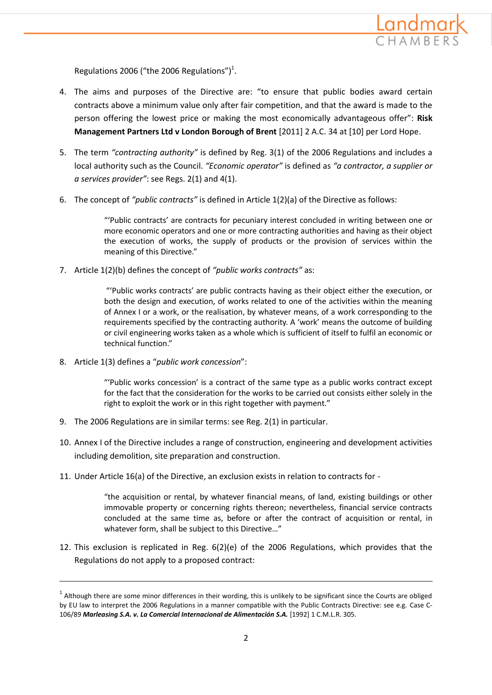

Regulations 2006 ("the 2006 Regulations") $<sup>1</sup>$ .</sup>

- 4. The aims and purposes of the Directive are: "to ensure that public bodies award certain contracts above a minimum value only after fair competition, and that the award is made to the person offering the lowest price or making the most economically advantageous offer": **Risk Management Partners Ltd v London Borough of Brent** [2011] 2 A.C. 34 at [10] per Lord Hope.
- 5. The term *"contracting authority"* is defined by Reg. 3(1) of the 2006 Regulations and includes a local authority such as the Council. *"Economic operator"* is defined as *"a contractor, a supplier or a services provider"*: see Regs. 2(1) and 4(1).
- 6. The concept of *"public contracts"* is defined in Article 1(2)(a) of the Directive as follows:

"'Public contracts' are contracts for pecuniary interest concluded in writing between one or more economic operators and one or more contracting authorities and having as their object the execution of works, the supply of products or the provision of services within the meaning of this Directive."

7. Article 1(2)(b) defines the concept of *"public works contracts"* as:

"'Public works contracts' are public contracts having as their object either the execution, or both the design and execution, of works related to one of the activities within the meaning of Annex I or a work, or the realisation, by whatever means, of a work corresponding to the requirements specified by the contracting authority. A 'work' means the outcome of building or civil engineering works taken as a whole which is sufficient of itself to fulfil an economic or technical function."

8. Article 1(3) defines a "*public work concession*":

**.** 

"'Public works concession' is a contract of the same type as a public works contract except for the fact that the consideration for the works to be carried out consists either solely in the right to exploit the work or in this right together with payment."

- 9. The 2006 Regulations are in similar terms: see Reg. 2(1) in particular.
- 10. Annex I of the Directive includes a range of construction, engineering and development activities including demolition, site preparation and construction.
- 11. Under Article 16(a) of the Directive, an exclusion exists in relation to contracts for -

"the acquisition or rental, by whatever financial means, of land, existing buildings or other immovable property or concerning rights thereon; nevertheless, financial service contracts concluded at the same time as, before or after the contract of acquisition or rental, in whatever form, shall be subject to this Directive…"

12. This exclusion is replicated in Reg. 6(2)(e) of the 2006 Regulations, which provides that the Regulations do not apply to a proposed contract:

 $^1$  Although there are some minor differences in their wording, this is unlikely to be significant since the Courts are obliged by EU law to interpret the 2006 Regulations in a manner compatible with the Public Contracts Directive: see e.g. Case C-106/89 *Marleasing S.A. v. La Comercial Internacional de Alimentación S.A.* [1992] 1 C.M.L.R. 305.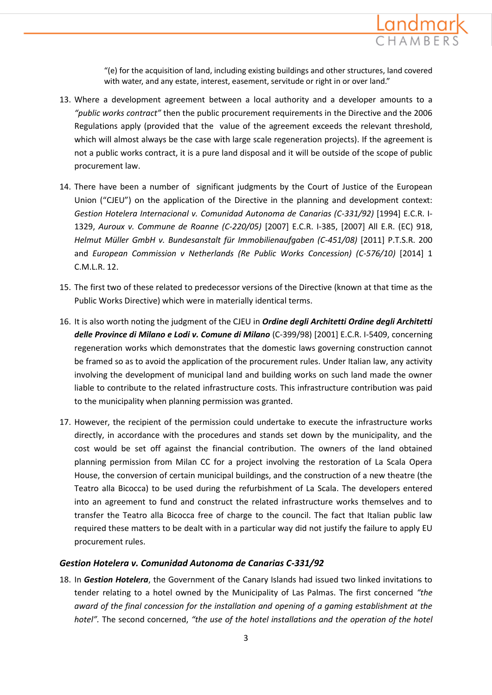

"(e) for the acquisition of land, including existing buildings and other structures, land covered with water, and any estate, interest, easement, servitude or right in or over land."

- 13. Where a development agreement between a local authority and a developer amounts to a *"public works contract"* then the public procurement requirements in the Directive and the 2006 Regulations apply (provided that the value of the agreement exceeds the relevant threshold, which will almost always be the case with large scale regeneration projects). If the agreement is not a public works contract, it is a pure land disposal and it will be outside of the scope of public procurement law.
- 14. There have been a number of significant judgments by the Court of Justice of the European Union ("CJEU") on the application of the Directive in the planning and development context: *Gestion Hotelera Internacional v. Comunidad Autonoma de Canarias (C-331/92)* [1994] E.C.R. I-1329, *Auroux v. Commune de Roanne (C-220/05)* [2007] E.C.R. I-385, [2007] All E.R. (EC) 918, *Helmut Müller GmbH v. Bundesanstalt für Immobilienaufgaben (C-451/08)* [2011] P.T.S.R. 200 and *European Commission v Netherlands (Re Public Works Concession) (C-576/10)* [2014] 1 C.M.L.R. 12.
- 15. The first two of these related to predecessor versions of the Directive (known at that time as the Public Works Directive) which were in materially identical terms.
- 16. It is also worth noting the judgment of the CJEU in *Ordine degli Architetti Ordine degli Architetti delle Province di Milano e Lodi v. Comune di Milano* (C-399/98) [2001] E.C.R. I-5409, concerning regeneration works which demonstrates that the domestic laws governing construction cannot be framed so as to avoid the application of the procurement rules. Under Italian law, any activity involving the development of municipal land and building works on such land made the owner liable to contribute to the related infrastructure costs. This infrastructure contribution was paid to the municipality when planning permission was granted.
- 17. However, the recipient of the permission could undertake to execute the infrastructure works directly, in accordance with the procedures and stands set down by the municipality, and the cost would be set off against the financial contribution. The owners of the land obtained planning permission from Milan CC for a project involving the restoration of La Scala Opera House, the conversion of certain municipal buildings, and the construction of a new theatre (the Teatro alla Bicocca) to be used during the refurbishment of La Scala. The developers entered into an agreement to fund and construct the related infrastructure works themselves and to transfer the Teatro alla Bicocca free of charge to the council. The fact that Italian public law required these matters to be dealt with in a particular way did not justify the failure to apply EU procurement rules.

#### *Gestion Hotelera v. Comunidad Autonoma de Canarias C-331/92*

18. In *Gestion Hotelera*, the Government of the Canary Islands had issued two linked invitations to tender relating to a hotel owned by the Municipality of Las Palmas. The first concerned *"the award of the final concession for the installation and opening of a gaming establishment at the hotel".* The second concerned, *"the use of the hotel installations and the operation of the hotel*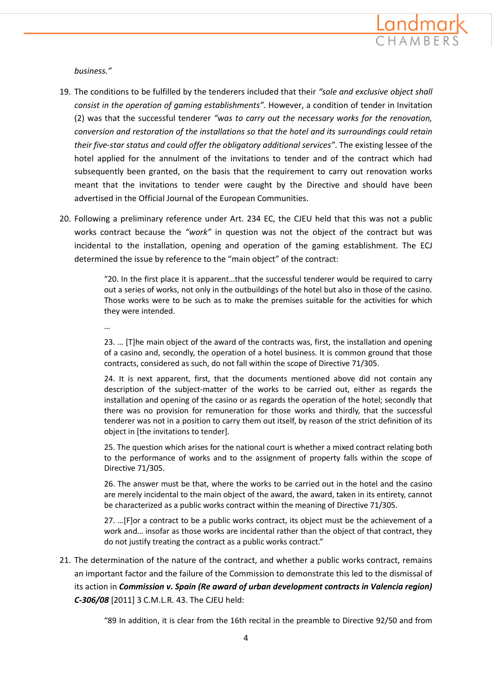

*business."*

- 19. The conditions to be fulfilled by the tenderers included that their *"sole and exclusive object shall consist in the operation of gaming establishments"*. However, a condition of tender in Invitation (2) was that the successful tenderer *"was to carry out the necessary works for the renovation, conversion and restoration of the installations so that the hotel and its surroundings could retain their five-star status and could offer the obligatory additional services"*. The existing lessee of the hotel applied for the annulment of the invitations to tender and of the contract which had subsequently been granted, on the basis that the requirement to carry out renovation works meant that the invitations to tender were caught by the Directive and should have been advertised in the Official Journal of the European Communities.
- 20. Following a preliminary reference under Art. 234 EC, the CJEU held that this was not a public works contract because the *"work"* in question was not the object of the contract but was incidental to the installation, opening and operation of the gaming establishment. The ECJ determined the issue by reference to the "main object" of the contract:

"20. In the first place it is apparent…that the successful tenderer would be required to carry out a series of works, not only in the outbuildings of the hotel but also in those of the casino. Those works were to be such as to make the premises suitable for the activities for which they were intended.

…

23. … [T]he main object of the award of the contracts was, first, the installation and opening of a casino and, secondly, the operation of a hotel business. It is common ground that those contracts, considered as such, do not fall within the scope of Directive 71/305.

24. It is next apparent, first, that the documents mentioned above did not contain any description of the subject-matter of the works to be carried out, either as regards the installation and opening of the casino or as regards the operation of the hotel; secondly that there was no provision for remuneration for those works and thirdly, that the successful tenderer was not in a position to carry them out itself, by reason of the strict definition of its object in [the invitations to tender].

25. The question which arises for the national court is whether a mixed contract relating both to the performance of works and to the assignment of property falls within the scope of Directive 71/305.

26. The answer must be that, where the works to be carried out in the hotel and the casino are merely incidental to the main object of the award, the award, taken in its entirety, cannot be characterized as a public works contract within the meaning of Directive 71/305.

27. …[F]or a contract to be a public works contract, its object must be the achievement of a work and… insofar as those works are incidental rather than the object of that contract, they do not justify treating the contract as a public works contract."

21. The determination of the nature of the contract, and whether a public works contract, remains an important factor and the failure of the Commission to demonstrate this led to the dismissal of its action in *Commission v. Spain (Re award of urban development contracts in Valencia region) C-306/08* [2011] 3 C.M.L.R. 43. The CJEU held:

"89 In addition, it is clear from the 16th recital in the preamble to Directive 92/50 and from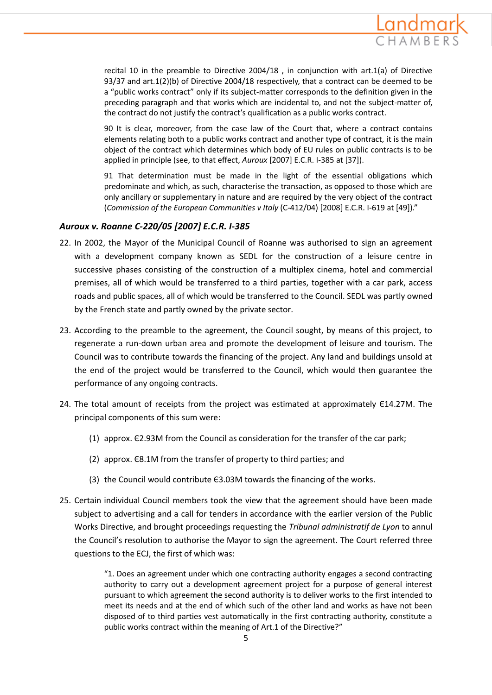

recital 10 in the preamble to Directive 2004/18 , in conjunction with art.1(a) of Directive 93/37 and art.1(2)(b) of Directive 2004/18 respectively, that a contract can be deemed to be a "public works contract" only if its subject-matter corresponds to the definition given in the preceding paragraph and that works which are incidental to, and not the subject-matter of, the contract do not justify the contract's qualification as a public works contract.

90 It is clear, moreover, from the case law of the Court that, where a contract contains elements relating both to a public works contract and another type of contract, it is the main object of the contract which determines which body of EU rules on public contracts is to be applied in principle (see, to that effect, *Auroux* [2007] E.C.R. I-385 at [37]).

91 That determination must be made in the light of the essential obligations which predominate and which, as such, characterise the transaction, as opposed to those which are only ancillary or supplementary in nature and are required by the very object of the contract (*Commission of the European Communities v Italy* (C-412/04) [2008] E.C.R. I-619 at [49])."

### *Auroux v. Roanne C-220/05 [2007] E.C.R. I-385*

- 22. In 2002, the Mayor of the Municipal Council of Roanne was authorised to sign an agreement with a development company known as SEDL for the construction of a leisure centre in successive phases consisting of the construction of a multiplex cinema, hotel and commercial premises, all of which would be transferred to a third parties, together with a car park, access roads and public spaces, all of which would be transferred to the Council. SEDL was partly owned by the French state and partly owned by the private sector.
- 23. According to the preamble to the agreement, the Council sought, by means of this project, to regenerate a run-down urban area and promote the development of leisure and tourism. The Council was to contribute towards the financing of the project. Any land and buildings unsold at the end of the project would be transferred to the Council, which would then guarantee the performance of any ongoing contracts.
- 24. The total amount of receipts from the project was estimated at approximately Є14.27M. The principal components of this sum were:
	- (1) approx. Є2.93M from the Council as consideration for the transfer of the car park;
	- (2) approx. Є8.1M from the transfer of property to third parties; and
	- (3) the Council would contribute Є3.03M towards the financing of the works.
- 25. Certain individual Council members took the view that the agreement should have been made subject to advertising and a call for tenders in accordance with the earlier version of the Public Works Directive, and brought proceedings requesting the *Tribunal administratif de Lyon* to annul the Council's resolution to authorise the Mayor to sign the agreement. The Court referred three questions to the ECJ, the first of which was:

"1. Does an agreement under which one contracting authority engages a second contracting authority to carry out a development agreement project for a purpose of general interest pursuant to which agreement the second authority is to deliver works to the first intended to meet its needs and at the end of which such of the other land and works as have not been disposed of to third parties vest automatically in the first contracting authority, constitute a public works contract within the meaning of Art.1 of the Directive?"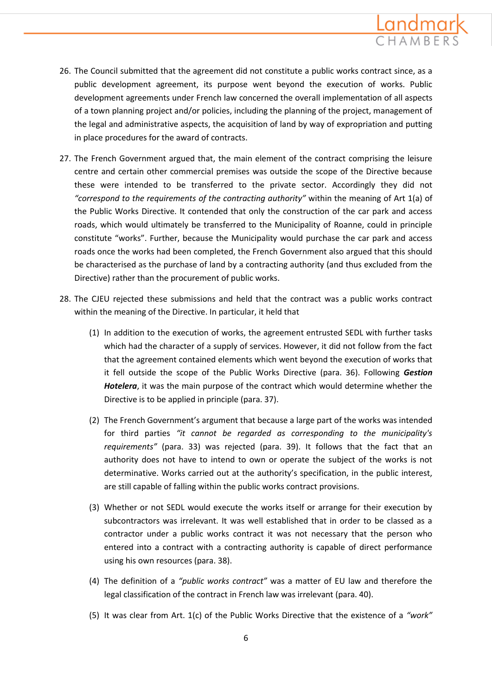

- 26. The Council submitted that the agreement did not constitute a public works contract since, as a public development agreement, its purpose went beyond the execution of works. Public development agreements under French law concerned the overall implementation of all aspects of a town planning project and/or policies, including the planning of the project, management of the legal and administrative aspects, the acquisition of land by way of expropriation and putting in place procedures for the award of contracts.
- 27. The French Government argued that, the main element of the contract comprising the leisure centre and certain other commercial premises was outside the scope of the Directive because these were intended to be transferred to the private sector. Accordingly they did not *"correspond to the requirements of the contracting authority"* within the meaning of Art 1(a) of the Public Works Directive. It contended that only the construction of the car park and access roads, which would ultimately be transferred to the Municipality of Roanne, could in principle constitute "works". Further, because the Municipality would purchase the car park and access roads once the works had been completed, the French Government also argued that this should be characterised as the purchase of land by a contracting authority (and thus excluded from the Directive) rather than the procurement of public works.
- 28. The CJEU rejected these submissions and held that the contract was a public works contract within the meaning of the Directive. In particular, it held that
	- (1) In addition to the execution of works, the agreement entrusted SEDL with further tasks which had the character of a supply of services. However, it did not follow from the fact that the agreement contained elements which went beyond the execution of works that it fell outside the scope of the Public Works Directive (para. 36). Following *Gestion Hotelera*, it was the main purpose of the contract which would determine whether the Directive is to be applied in principle (para. 37).
	- (2) The French Government's argument that because a large part of the works was intended for third parties *"it cannot be regarded as corresponding to the municipality's requirements"* (para. 33) was rejected (para. 39). It follows that the fact that an authority does not have to intend to own or operate the subject of the works is not determinative. Works carried out at the authority's specification, in the public interest, are still capable of falling within the public works contract provisions.
	- (3) Whether or not SEDL would execute the works itself or arrange for their execution by subcontractors was irrelevant. It was well established that in order to be classed as a contractor under a public works contract it was not necessary that the person who entered into a contract with a contracting authority is capable of direct performance using his own resources (para. 38).
	- (4) The definition of a *"public works contract"* was a matter of EU law and therefore the legal classification of the contract in French law was irrelevant (para. 40).
	- (5) It was clear from Art. 1(c) of the Public Works Directive that the existence of a *"work"*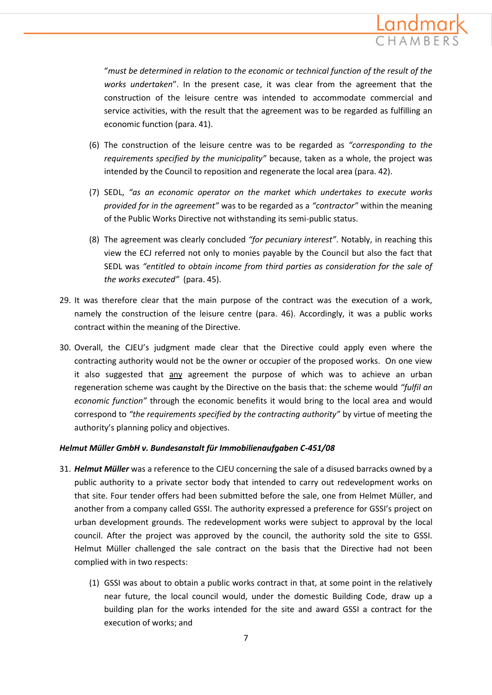

"*must be determined in relation to the economic or technical function of the result of the works undertaken*". In the present case, it was clear from the agreement that the construction of the leisure centre was intended to accommodate commercial and service activities, with the result that the agreement was to be regarded as fulfilling an economic function (para. 41).

- (6) The construction of the leisure centre was to be regarded as *"corresponding to the requirements specified by the municipality"* because, taken as a whole, the project was intended by the Council to reposition and regenerate the local area (para. 42).
- (7) SEDL, *"as an economic operator on the market which undertakes to execute works provided for in the agreement"* was to be regarded as a *"contractor"* within the meaning of the Public Works Directive not withstanding its semi-public status.
- (8) The agreement was clearly concluded *"for pecuniary interest"*. Notably, in reaching this view the ECJ referred not only to monies payable by the Council but also the fact that SEDL was *"entitled to obtain income from third parties as consideration for the sale of the works executed"* (para. 45).
- 29. It was therefore clear that the main purpose of the contract was the execution of a work, namely the construction of the leisure centre (para. 46). Accordingly, it was a public works contract within the meaning of the Directive.
- 30. Overall, the CJEU's judgment made clear that the Directive could apply even where the contracting authority would not be the owner or occupier of the proposed works. On one view it also suggested that any agreement the purpose of which was to achieve an urban regeneration scheme was caught by the Directive on the basis that: the scheme would *"fulfil an economic function"* through the economic benefits it would bring to the local area and would correspond to *"the requirements specified by the contracting authority"* by virtue of meeting the authority's planning policy and objectives.

#### *Helmut Müller GmbH v. Bundesanstalt für Immobilienaufgaben C-451/08*

- 31. *Helmut Müller* was a reference to the CJEU concerning the sale of a disused barracks owned by a public authority to a private sector body that intended to carry out redevelopment works on that site. Four tender offers had been submitted before the sale, one from Helmet Müller, and another from a company called GSSI. The authority expressed a preference for GSSI's project on urban development grounds. The redevelopment works were subject to approval by the local council. After the project was approved by the council, the authority sold the site to GSSI. Helmut Müller challenged the sale contract on the basis that the Directive had not been complied with in two respects:
	- (1) GSSI was about to obtain a public works contract in that, at some point in the relatively near future, the local council would, under the domestic Building Code, draw up a building plan for the works intended for the site and award GSSI a contract for the execution of works; and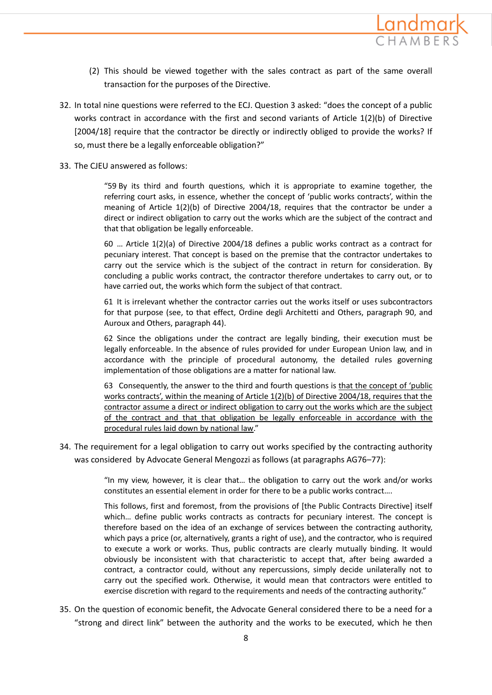

- (2) This should be viewed together with the sales contract as part of the same overall transaction for the purposes of the Directive.
- 32. In total nine questions were referred to the ECJ. Question 3 asked: "does the concept of a public works contract in accordance with the first and second variants of Article 1(2)(b) of Directive [2004/18] require that the contractor be directly or indirectly obliged to provide the works? If so, must there be a legally enforceable obligation?"
- 33. The CJEU answered as follows:

"59 By its third and fourth questions, which it is appropriate to examine together, the referring court asks, in essence, whether the concept of 'public works contracts', within the meaning of Article 1(2)(b) of Directive 2004/18, requires that the contractor be under a direct or indirect obligation to carry out the works which are the subject of the contract and that that obligation be legally enforceable.

60 … Article 1(2)(a) of Directive 2004/18 defines a public works contract as a contract for pecuniary interest. That concept is based on the premise that the contractor undertakes to carry out the service which is the subject of the contract in return for consideration. By concluding a public works contract, the contractor therefore undertakes to carry out, or to have carried out, the works which form the subject of that contract.

61 It is irrelevant whether the contractor carries out the works itself or uses subcontractors for that purpose (see, to that effect, Ordine degli Architetti and Others, paragraph 90, and Auroux and Others, paragraph 44).

62 Since the obligations under the contract are legally binding, their execution must be legally enforceable. In the absence of rules provided for under European Union law, and in accordance with the principle of procedural autonomy, the detailed rules governing implementation of those obligations are a matter for national law.

63 Consequently, the answer to the third and fourth questions is that the concept of 'public works contracts', within the meaning of Article 1(2)(b) of Directive 2004/18, requires that the contractor assume a direct or indirect obligation to carry out the works which are the subject of the contract and that that obligation be legally enforceable in accordance with the procedural rules laid down by national law."

34. The requirement for a legal obligation to carry out works specified by the contracting authority was considered by Advocate General Mengozzi as follows (at paragraphs AG76–77):

> "In my view, however, it is clear that… the obligation to carry out the work and/or works constitutes an essential element in order for there to be a public works contract….

> This follows, first and foremost, from the provisions of [the Public Contracts Directive] itself which… define public works contracts as contracts for pecuniary interest. The concept is therefore based on the idea of an exchange of services between the contracting authority, which pays a price (or, alternatively, grants a right of use), and the contractor, who is required to execute a work or works. Thus, public contracts are clearly mutually binding. It would obviously be inconsistent with that characteristic to accept that, after being awarded a contract, a contractor could, without any repercussions, simply decide unilaterally not to carry out the specified work. Otherwise, it would mean that contractors were entitled to exercise discretion with regard to the requirements and needs of the contracting authority."

35. On the question of economic benefit, the Advocate General considered there to be a need for a "strong and direct link" between the authority and the works to be executed, which he then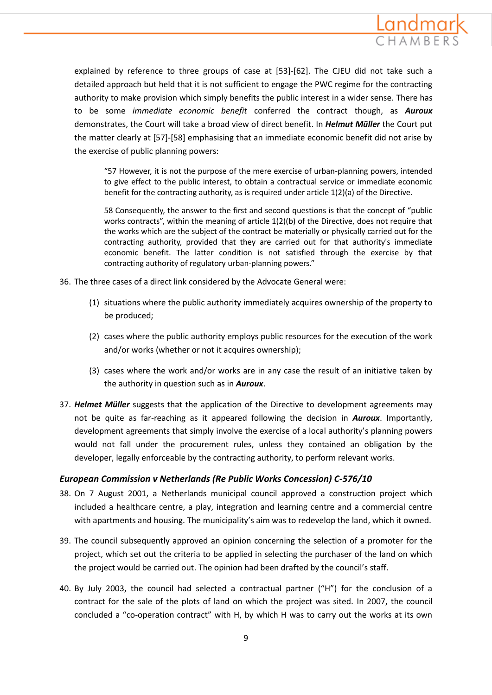

explained by reference to three groups of case at [53]‐[62]. The CJEU did not take such a detailed approach but held that it is not sufficient to engage the PWC regime for the contracting authority to make provision which simply benefits the public interest in a wider sense. There has to be some *immediate economic benefit* conferred the contract though, as *Auroux* demonstrates, the Court will take a broad view of direct benefit. In *Helmut Müller* the Court put the matter clearly at [57]‐[58] emphasising that an immediate economic benefit did not arise by the exercise of public planning powers:

"57 However, it is not the purpose of the mere exercise of urban‐planning powers, intended to give effect to the public interest, to obtain a contractual service or immediate economic benefit for the contracting authority, as is required under article 1(2)(a) of the Directive.

58 Consequently, the answer to the first and second questions is that the concept of "public works contracts", within the meaning of article 1(2)(b) of the Directive, does not require that the works which are the subject of the contract be materially or physically carried out for the contracting authority, provided that they are carried out for that authority's immediate economic benefit. The latter condition is not satisfied through the exercise by that contracting authority of regulatory urban‐planning powers."

- 36. The three cases of a direct link considered by the Advocate General were:
	- (1) situations where the public authority immediately acquires ownership of the property to be produced;
	- (2) cases where the public authority employs public resources for the execution of the work and/or works (whether or not it acquires ownership);
	- (3) cases where the work and/or works are in any case the result of an initiative taken by the authority in question such as in *Auroux*.
- 37. *Helmet Müller* suggests that the application of the Directive to development agreements may not be quite as far-reaching as it appeared following the decision in *Auroux*. Importantly, development agreements that simply involve the exercise of a local authority's planning powers would not fall under the procurement rules, unless they contained an obligation by the developer, legally enforceable by the contracting authority, to perform relevant works.

### *European Commission v Netherlands (Re Public Works Concession) C-576/10*

- 38. On 7 August 2001, a Netherlands municipal council approved a construction project which included a healthcare centre, a play, integration and learning centre and a commercial centre with apartments and housing. The municipality's aim was to redevelop the land, which it owned.
- 39. The council subsequently approved an opinion concerning the selection of a promoter for the project, which set out the criteria to be applied in selecting the purchaser of the land on which the project would be carried out. The opinion had been drafted by the council's staff.
- 40. By July 2003, the council had selected a contractual partner ("H") for the conclusion of a contract for the sale of the plots of land on which the project was sited. In 2007, the council concluded a "co-operation contract" with H, by which H was to carry out the works at its own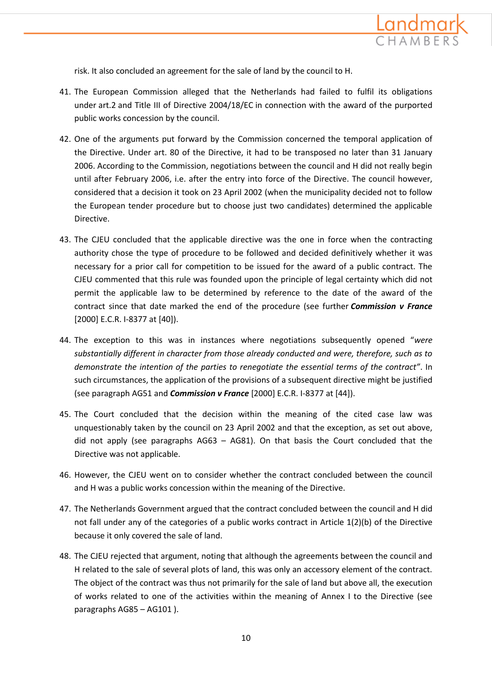

risk. It also concluded an agreement for the sale of land by the council to H.

- 41. The European Commission alleged that the Netherlands had failed to fulfil its obligations under art.2 and Title III of Directive 2004/18/EC in connection with the award of the purported public works concession by the council.
- 42. One of the arguments put forward by the Commission concerned the temporal application of the Directive. Under art. 80 of the Directive, it had to be transposed no later than 31 January 2006. According to the Commission, negotiations between the council and H did not really begin until after February 2006, i.e. after the entry into force of the Directive. The council however, considered that a decision it took on 23 April 2002 (when the municipality decided not to follow the European tender procedure but to choose just two candidates) determined the applicable Directive.
- 43. The CJEU concluded that the applicable directive was the one in force when the contracting authority chose the type of procedure to be followed and decided definitively whether it was necessary for a prior call for competition to be issued for the award of a public contract. The CJEU commented that this rule was founded upon the principle of legal certainty which did not permit the applicable law to be determined by reference to the date of the award of the contract since that date marked the end of the procedure (see further *Commission v France* [2000] E.C.R. I-8377 at [40]).
- 44. The exception to this was in instances where negotiations subsequently opened "*were substantially different in character from those already conducted and were, therefore, such as to demonstrate the intention of the parties to renegotiate the essential terms of the contract"*. In such circumstances, the application of the provisions of a subsequent directive might be justified (see paragraph AG51 and *Commission v France* [2000] E.C.R. I-8377 at [44]).
- 45. The Court concluded that the decision within the meaning of the cited case law was unquestionably taken by the council on 23 April 2002 and that the exception, as set out above, did not apply (see paragraphs AG63 – AG81). On that basis the Court concluded that the Directive was not applicable.
- 46. However, the CJEU went on to consider whether the contract concluded between the council and H was a public works concession within the meaning of the Directive.
- 47. The Netherlands Government argued that the contract concluded between the council and H did not fall under any of the categories of a public works contract in Article 1(2)(b) of the Directive because it only covered the sale of land.
- 48. The CJEU rejected that argument, noting that although the agreements between the council and H related to the sale of several plots of land, this was only an accessory element of the contract. The object of the contract was thus not primarily for the sale of land but above all, the execution of works related to one of the activities within the meaning of Annex I to the Directive (see paragraphs AG85 – AG101 ).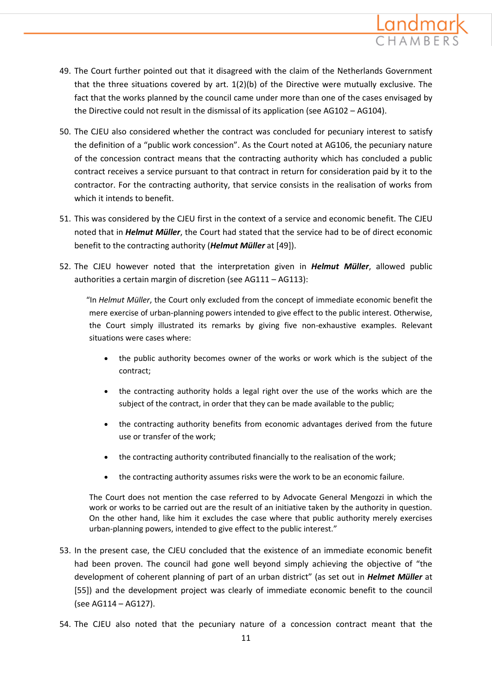

- 49. The Court further pointed out that it disagreed with the claim of the Netherlands Government that the three situations covered by art.  $1(2)(b)$  of the Directive were mutually exclusive. The fact that the works planned by the council came under more than one of the cases envisaged by the Directive could not result in the dismissal of its application (see AG102 – AG104).
- 50. The CJEU also considered whether the contract was concluded for pecuniary interest to satisfy the definition of a "public work concession". As the Court noted at AG106, the pecuniary nature of the concession contract means that the contracting authority which has concluded a public contract receives a service pursuant to that contract in return for consideration paid by it to the contractor. For the contracting authority, that service consists in the realisation of works from which it intends to benefit.
- 51. This was considered by the CJEU first in the context of a service and economic benefit. The CJEU noted that in *Helmut Müller*, the Court had stated that the service had to be of direct economic benefit to the contracting authority (*Helmut Müller* at [49]).
- 52. The CJEU however noted that the interpretation given in *Helmut Müller*, allowed public authorities a certain margin of discretion (see AG111 – AG113):

"In *Helmut Müller*, the Court only excluded from the concept of immediate economic benefit the mere exercise of urban-planning powers intended to give effect to the public interest. Otherwise, the Court simply illustrated its remarks by giving five non-exhaustive examples. Relevant situations were cases where:

- the public authority becomes owner of the works or work which is the subject of the contract;
- the contracting authority holds a legal right over the use of the works which are the subject of the contract, in order that they can be made available to the public;
- the contracting authority benefits from economic advantages derived from the future use or transfer of the work;
- the contracting authority contributed financially to the realisation of the work;
- the contracting authority assumes risks were the work to be an economic failure.

The Court does not mention the case referred to by Advocate General Mengozzi in which the work or works to be carried out are the result of an initiative taken by the authority in question. On the other hand, like him it excludes the case where that public authority merely exercises urban-planning powers, intended to give effect to the public interest."

- 53. In the present case, the CJEU concluded that the existence of an immediate economic benefit had been proven. The council had gone well beyond simply achieving the objective of "the development of coherent planning of part of an urban district" (as set out in *Helmet Müller* at [55]) and the development project was clearly of immediate economic benefit to the council (see AG114 – AG127).
- 54. The CJEU also noted that the pecuniary nature of a concession contract meant that the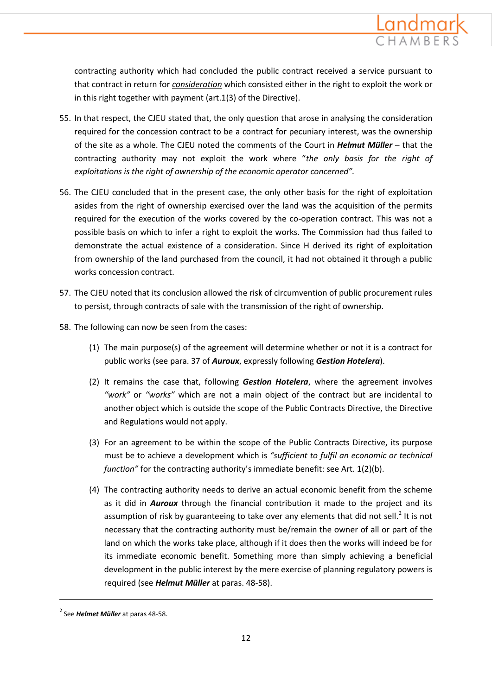

contracting authority which had concluded the public contract received a service pursuant to that contract in return for *consideration* which consisted either in the right to exploit the work or in this right together with payment (art.1(3) of the Directive).

- 55. In that respect, the CJEU stated that, the only question that arose in analysing the consideration required for the concession contract to be a contract for pecuniary interest, was the ownership of the site as a whole. The CJEU noted the comments of the Court in *Helmut Müller* – that the contracting authority may not exploit the work where "*the only basis for the right of exploitations is the right of ownership of the economic operator concerned".*
- 56. The CJEU concluded that in the present case, the only other basis for the right of exploitation asides from the right of ownership exercised over the land was the acquisition of the permits required for the execution of the works covered by the co-operation contract. This was not a possible basis on which to infer a right to exploit the works. The Commission had thus failed to demonstrate the actual existence of a consideration. Since H derived its right of exploitation from ownership of the land purchased from the council, it had not obtained it through a public works concession contract.
- 57. The CJEU noted that its conclusion allowed the risk of circumvention of public procurement rules to persist, through contracts of sale with the transmission of the right of ownership.
- 58. The following can now be seen from the cases:
	- (1) The main purpose(s) of the agreement will determine whether or not it is a contract for public works (see para. 37 of *Auroux*, expressly following *Gestion Hotelera*).
	- (2) It remains the case that, following *Gestion Hotelera*, where the agreement involves *"work"* or *"works"* which are not a main object of the contract but are incidental to another object which is outside the scope of the Public Contracts Directive, the Directive and Regulations would not apply.
	- (3) For an agreement to be within the scope of the Public Contracts Directive, its purpose must be to achieve a development which is *"sufficient to fulfil an economic or technical function"* for the contracting authority's immediate benefit: see Art. 1(2)(b).
	- (4) The contracting authority needs to derive an actual economic benefit from the scheme as it did in *Auroux* through the financial contribution it made to the project and its assumption of risk by guaranteeing to take over any elements that did not sell.<sup>2</sup> It is not necessary that the contracting authority must be/remain the owner of all or part of the land on which the works take place, although if it does then the works will indeed be for its immediate economic benefit. Something more than simply achieving a beneficial development in the public interest by the mere exercise of planning regulatory powers is required (see *Helmut Müller* at paras. 48-58).

**.** 

<sup>2</sup> See *Helmet Müller* at paras 48-58.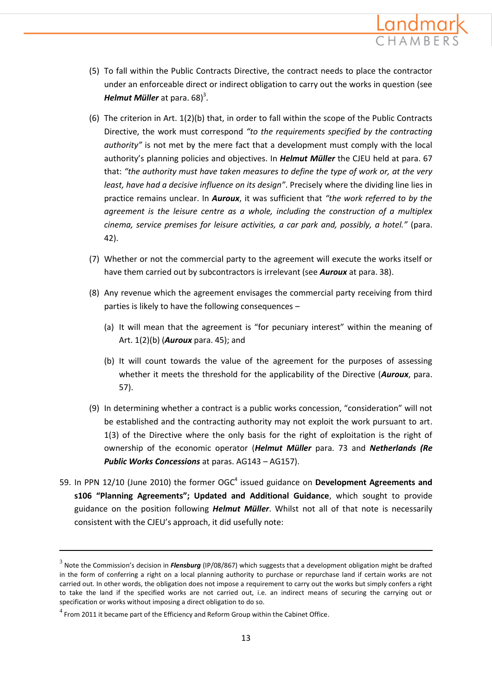

- (5) To fall within the Public Contracts Directive, the contract needs to place the contractor under an enforceable direct or indirect obligation to carry out the works in question (see *Helmut Müller* at para. 68) 3 .
- (6) The criterion in Art. 1(2)(b) that, in order to fall within the scope of the Public Contracts Directive, the work must correspond *"to the requirements specified by the contracting authority"* is not met by the mere fact that a development must comply with the local authority's planning policies and objectives. In *Helmut Müller* the CJEU held at para. 67 that: *"the authority must have taken measures to define the type of work or, at the very least, have had a decisive influence on its design"*. Precisely where the dividing line lies in practice remains unclear. In *Auroux*, it was sufficient that *"the work referred to by the agreement is the leisure centre as a whole, including the construction of a multiplex cinema, service premises for leisure activities, a car park and, possibly, a hotel."* (para. 42).
- (7) Whether or not the commercial party to the agreement will execute the works itself or have them carried out by subcontractors is irrelevant (see *Auroux* at para. 38).
- (8) Any revenue which the agreement envisages the commercial party receiving from third parties is likely to have the following consequences –
	- (a) It will mean that the agreement is "for pecuniary interest" within the meaning of Art. 1(2)(b) (*Auroux* para. 45); and
	- (b) It will count towards the value of the agreement for the purposes of assessing whether it meets the threshold for the applicability of the Directive (*Auroux*, para. 57).
- (9) In determining whether a contract is a public works concession, "consideration" will not be established and the contracting authority may not exploit the work pursuant to art. 1(3) of the Directive where the only basis for the right of exploitation is the right of ownership of the economic operator (*Helmut Müller* para. 73 and *Netherlands (Re Public Works Concessions* at paras. AG143 – AG157).
- 59. In PPN 12/10 (June 2010) the former OGC<sup>4</sup> issued guidance on Development Agreements and **s106 "Planning Agreements"; Updated and Additional Guidance**, which sought to provide guidance on the position following *Helmut Müller*. Whilst not all of that note is necessarily consistent with the CJEU's approach, it did usefully note:

**.** 

<sup>3</sup> Note the Commission's decision in *Flensburg* (IP/08/867) which suggests that a development obligation might be drafted in the form of conferring a right on a local planning authority to purchase or repurchase land if certain works are not carried out. In other words, the obligation does not impose a requirement to carry out the works but simply confers a right to take the land if the specified works are not carried out, i.e. an indirect means of securing the carrying out or specification or works without imposing a direct obligation to do so.

 $<sup>4</sup>$  From 2011 it became part of the Efficiency and Reform Group within the Cabinet Office.</sup>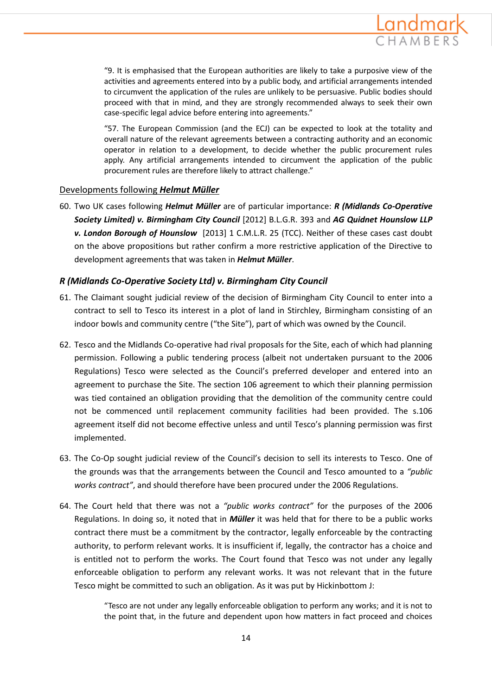

"9. It is emphasised that the European authorities are likely to take a purposive view of the activities and agreements entered into by a public body, and artificial arrangements intended to circumvent the application of the rules are unlikely to be persuasive. Public bodies should proceed with that in mind, and they are strongly recommended always to seek their own case-specific legal advice before entering into agreements."

"57. The European Commission (and the ECJ) can be expected to look at the totality and overall nature of the relevant agreements between a contracting authority and an economic operator in relation to a development, to decide whether the public procurement rules apply. Any artificial arrangements intended to circumvent the application of the public procurement rules are therefore likely to attract challenge."

#### Developments following *Helmut Müller*

60. Two UK cases following *Helmut Müller* are of particular importance: *R (Midlands Co-Operative Society Limited) v. Birmingham City Council* [2012] B.L.G.R. 393 and *AG Quidnet Hounslow LLP v. London Borough of Hounslow* [2013] 1 C.M.L.R. 25 (TCC). Neither of these cases cast doubt on the above propositions but rather confirm a more restrictive application of the Directive to development agreements that was taken in *Helmut Müller*.

### *R (Midlands Co-Operative Society Ltd) v. Birmingham City Council*

- 61. The Claimant sought judicial review of the decision of Birmingham City Council to enter into a contract to sell to Tesco its interest in a plot of land in Stirchley, Birmingham consisting of an indoor bowls and community centre ("the Site"), part of which was owned by the Council.
- 62. Tesco and the Midlands Co-operative had rival proposals for the Site, each of which had planning permission. Following a public tendering process (albeit not undertaken pursuant to the 2006 Regulations) Tesco were selected as the Council's preferred developer and entered into an agreement to purchase the Site. The section 106 agreement to which their planning permission was tied contained an obligation providing that the demolition of the community centre could not be commenced until replacement community facilities had been provided. The s.106 agreement itself did not become effective unless and until Tesco's planning permission was first implemented.
- 63. The Co-Op sought judicial review of the Council's decision to sell its interests to Tesco. One of the grounds was that the arrangements between the Council and Tesco amounted to a *"public works contract"*, and should therefore have been procured under the 2006 Regulations.
- 64. The Court held that there was not a *"public works contract"* for the purposes of the 2006 Regulations. In doing so, it noted that in *Müller* it was held that for there to be a public works contract there must be a commitment by the contractor, legally enforceable by the contracting authority, to perform relevant works. It is insufficient if, legally, the contractor has a choice and is entitled not to perform the works. The Court found that Tesco was not under any legally enforceable obligation to perform any relevant works. It was not relevant that in the future Tesco might be committed to such an obligation. As it was put by Hickinbottom J:

"Tesco are not under any legally enforceable obligation to perform any works; and it is not to the point that, in the future and dependent upon how matters in fact proceed and choices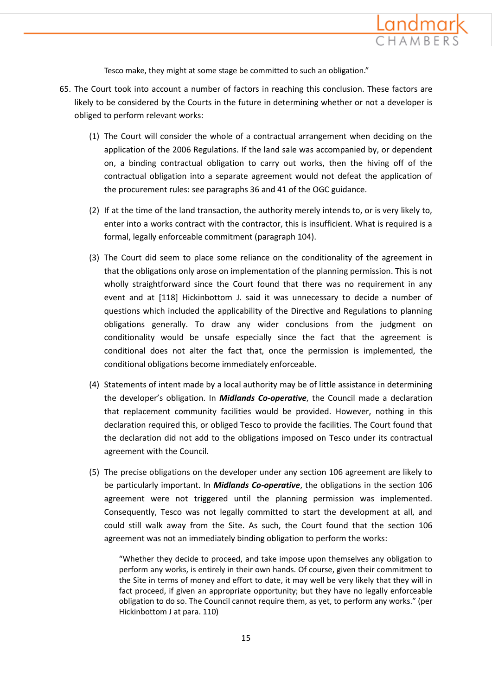

Tesco make, they might at some stage be committed to such an obligation."

- 65. The Court took into account a number of factors in reaching this conclusion. These factors are likely to be considered by the Courts in the future in determining whether or not a developer is obliged to perform relevant works:
	- (1) The Court will consider the whole of a contractual arrangement when deciding on the application of the 2006 Regulations. If the land sale was accompanied by, or dependent on, a binding contractual obligation to carry out works, then the hiving off of the contractual obligation into a separate agreement would not defeat the application of the procurement rules: see paragraphs 36 and 41 of the OGC guidance.
	- (2) If at the time of the land transaction, the authority merely intends to, or is very likely to, enter into a works contract with the contractor, this is insufficient. What is required is a formal, legally enforceable commitment (paragraph 104).
	- (3) The Court did seem to place some reliance on the conditionality of the agreement in that the obligations only arose on implementation of the planning permission. This is not wholly straightforward since the Court found that there was no requirement in any event and at [118] Hickinbottom J. said it was unnecessary to decide a number of questions which included the applicability of the Directive and Regulations to planning obligations generally. To draw any wider conclusions from the judgment on conditionality would be unsafe especially since the fact that the agreement is conditional does not alter the fact that, once the permission is implemented, the conditional obligations become immediately enforceable.
	- (4) Statements of intent made by a local authority may be of little assistance in determining the developer's obligation. In *Midlands Co-operative*, the Council made a declaration that replacement community facilities would be provided. However, nothing in this declaration required this, or obliged Tesco to provide the facilities. The Court found that the declaration did not add to the obligations imposed on Tesco under its contractual agreement with the Council.
	- (5) The precise obligations on the developer under any section 106 agreement are likely to be particularly important. In *Midlands Co-operative*, the obligations in the section 106 agreement were not triggered until the planning permission was implemented. Consequently, Tesco was not legally committed to start the development at all, and could still walk away from the Site. As such, the Court found that the section 106 agreement was not an immediately binding obligation to perform the works:

"Whether they decide to proceed, and take impose upon themselves any obligation to perform any works, is entirely in their own hands. Of course, given their commitment to the Site in terms of money and effort to date, it may well be very likely that they will in fact proceed, if given an appropriate opportunity; but they have no legally enforceable obligation to do so. The Council cannot require them, as yet, to perform any works." (per Hickinbottom J at para. 110)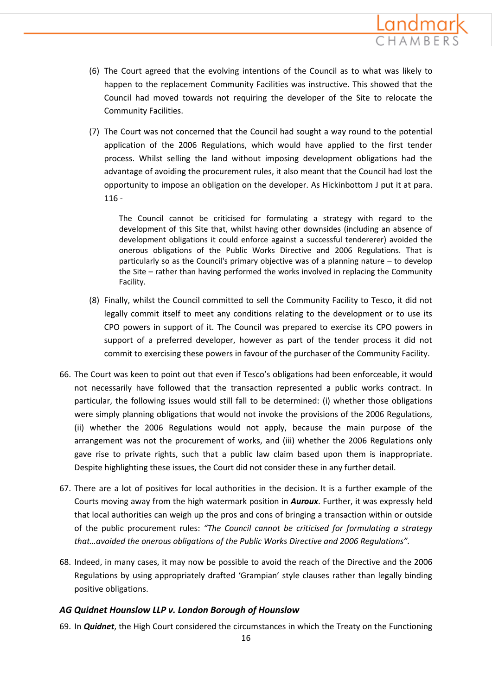

- (6) The Court agreed that the evolving intentions of the Council as to what was likely to happen to the replacement Community Facilities was instructive. This showed that the Council had moved towards not requiring the developer of the Site to relocate the Community Facilities.
- (7) The Court was not concerned that the Council had sought a way round to the potential application of the 2006 Regulations, which would have applied to the first tender process. Whilst selling the land without imposing development obligations had the advantage of avoiding the procurement rules, it also meant that the Council had lost the opportunity to impose an obligation on the developer. As Hickinbottom J put it at para. 116 -

The Council cannot be criticised for formulating a strategy with regard to the development of this Site that, whilst having other downsides (including an absence of development obligations it could enforce against a successful tendererer) avoided the onerous obligations of the Public Works Directive and 2006 Regulations. That is particularly so as the Council's primary objective was of a planning nature – to develop the Site – rather than having performed the works involved in replacing the Community Facility.

- (8) Finally, whilst the Council committed to sell the Community Facility to Tesco, it did not legally commit itself to meet any conditions relating to the development or to use its CPO powers in support of it. The Council was prepared to exercise its CPO powers in support of a preferred developer, however as part of the tender process it did not commit to exercising these powers in favour of the purchaser of the Community Facility.
- 66. The Court was keen to point out that even if Tesco's obligations had been enforceable, it would not necessarily have followed that the transaction represented a public works contract. In particular, the following issues would still fall to be determined: (i) whether those obligations were simply planning obligations that would not invoke the provisions of the 2006 Regulations, (ii) whether the 2006 Regulations would not apply, because the main purpose of the arrangement was not the procurement of works, and (iii) whether the 2006 Regulations only gave rise to private rights, such that a public law claim based upon them is inappropriate. Despite highlighting these issues, the Court did not consider these in any further detail.
- 67. There are a lot of positives for local authorities in the decision. It is a further example of the Courts moving away from the high watermark position in *Auroux*. Further, it was expressly held that local authorities can weigh up the pros and cons of bringing a transaction within or outside of the public procurement rules: *"The Council cannot be criticised for formulating a strategy that…avoided the onerous obligations of the Public Works Directive and 2006 Regulations".*
- 68. Indeed, in many cases, it may now be possible to avoid the reach of the Directive and the 2006 Regulations by using appropriately drafted 'Grampian' style clauses rather than legally binding positive obligations.

### *AG Quidnet Hounslow LLP v. London Borough of Hounslow*

69. In *Quidnet*, the High Court considered the circumstances in which the Treaty on the Functioning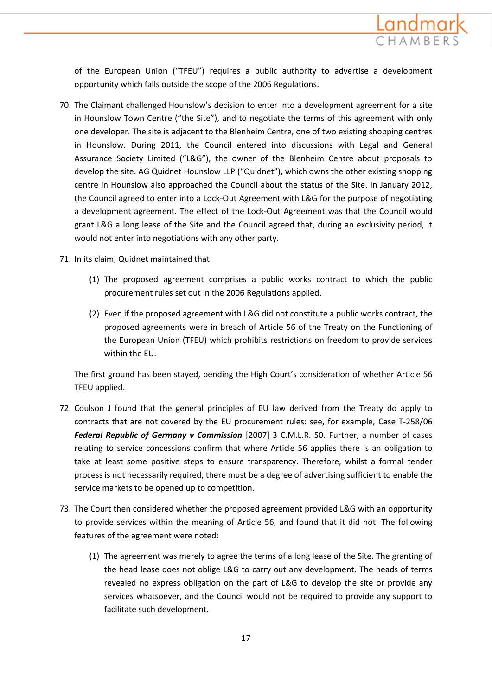

of the European Union ("TFEU") requires a public authority to advertise a development opportunity which falls outside the scope of the 2006 Regulations.

- 70. The Claimant challenged Hounslow's decision to enter into a development agreement for a site in Hounslow Town Centre ("the Site"), and to negotiate the terms of this agreement with only one developer. The site is adjacent to the Blenheim Centre, one of two existing shopping centres in Hounslow. During 2011, the Council entered into discussions with Legal and General Assurance Society Limited ("L&G"), the owner of the Blenheim Centre about proposals to develop the site. AG Quidnet Hounslow LLP ("Quidnet"), which owns the other existing shopping centre in Hounslow also approached the Council about the status of the Site. In January 2012, the Council agreed to enter into a Lock-Out Agreement with L&G for the purpose of negotiating a development agreement. The effect of the Lock-Out Agreement was that the Council would grant L&G a long lease of the Site and the Council agreed that, during an exclusivity period, it would not enter into negotiations with any other party.
- 71. In its claim, Quidnet maintained that:
	- (1) The proposed agreement comprises a public works contract to which the public procurement rules set out in the 2006 Regulations applied.
	- (2) Even if the proposed agreement with L&G did not constitute a public works contract, the proposed agreements were in breach of Article 56 of the Treaty on the Functioning of the European Union (TFEU) which prohibits restrictions on freedom to provide services within the EU.

The first ground has been stayed, pending the High Court's consideration of whether Article 56 TFEU applied.

- 72. Coulson J found that the general principles of EU law derived from the Treaty do apply to contracts that are not covered by the EU procurement rules: see, for example, Case T-258/06 *Federal Republic of Germany v Commission* [2007] 3 C.M.L.R. 50. Further, a number of cases relating to service concessions confirm that where Article 56 applies there is an obligation to take at least some positive steps to ensure transparency. Therefore, whilst a formal tender process is not necessarily required, there must be a degree of advertising sufficient to enable the service markets to be opened up to competition.
- 73. The Court then considered whether the proposed agreement provided L&G with an opportunity to provide services within the meaning of Article 56, and found that it did not. The following features of the agreement were noted:
	- (1) The agreement was merely to agree the terms of a long lease of the Site. The granting of the head lease does not oblige L&G to carry out any development. The heads of terms revealed no express obligation on the part of L&G to develop the site or provide any services whatsoever, and the Council would not be required to provide any support to facilitate such development.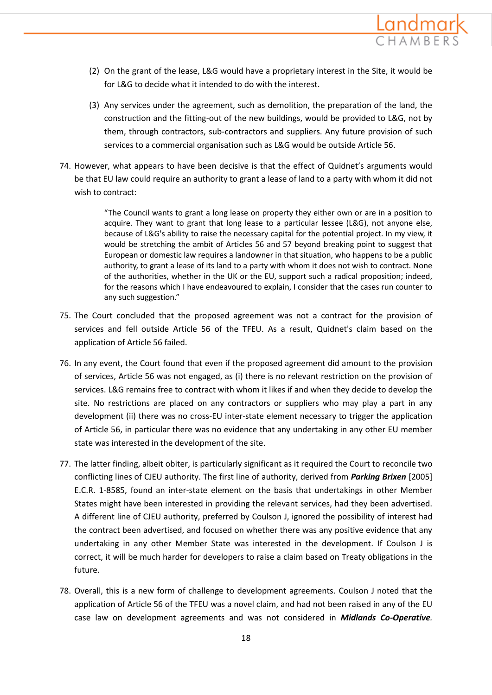

- (2) On the grant of the lease, L&G would have a proprietary interest in the Site, it would be for L&G to decide what it intended to do with the interest.
- (3) Any services under the agreement, such as demolition, the preparation of the land, the construction and the fitting-out of the new buildings, would be provided to L&G, not by them, through contractors, sub-contractors and suppliers. Any future provision of such services to a commercial organisation such as L&G would be outside Article 56.
- 74. However, what appears to have been decisive is that the effect of Quidnet's arguments would be that EU law could require an authority to grant a lease of land to a party with whom it did not wish to contract:

"The Council wants to grant a long lease on property they either own or are in a position to acquire. They want to grant that long lease to a particular lessee (L&G), not anyone else, because of L&G's ability to raise the necessary capital for the potential project. In my view, it would be stretching the ambit of Articles 56 and 57 beyond breaking point to suggest that European or domestic law requires a landowner in that situation, who happens to be a public authority, to grant a lease of its land to a party with whom it does not wish to contract. None of the authorities, whether in the UK or the EU, support such a radical proposition; indeed, for the reasons which I have endeavoured to explain, I consider that the cases run counter to any such suggestion."

- 75. The Court concluded that the proposed agreement was not a contract for the provision of services and fell outside Article 56 of the TFEU. As a result, Quidnet's claim based on the application of Article 56 failed.
- 76. In any event, the Court found that even if the proposed agreement did amount to the provision of services, Article 56 was not engaged, as (i) there is no relevant restriction on the provision of services. L&G remains free to contract with whom it likes if and when they decide to develop the site. No restrictions are placed on any contractors or suppliers who may play a part in any development (ii) there was no cross-EU inter-state element necessary to trigger the application of Article 56, in particular there was no evidence that any undertaking in any other EU member state was interested in the development of the site.
- 77. The latter finding, albeit obiter, is particularly significant as it required the Court to reconcile two conflicting lines of CJEU authority. The first line of authority, derived from *Parking Brixen* [2005] E.C.R. 1-8585, found an inter-state element on the basis that undertakings in other Member States might have been interested in providing the relevant services, had they been advertised. A different line of CJEU authority, preferred by Coulson J, ignored the possibility of interest had the contract been advertised, and focused on whether there was any positive evidence that any undertaking in any other Member State was interested in the development. If Coulson J is correct, it will be much harder for developers to raise a claim based on Treaty obligations in the future.
- 78. Overall, this is a new form of challenge to development agreements. Coulson J noted that the application of Article 56 of the TFEU was a novel claim, and had not been raised in any of the EU case law on development agreements and was not considered in *Midlands Co-Operative.*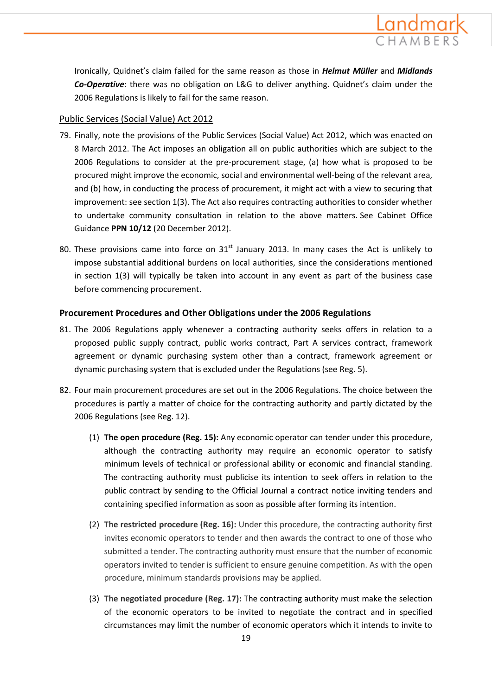

Ironically, Quidnet's claim failed for the same reason as those in *Helmut Müller* and *Midlands Co-Operative*: there was no obligation on L&G to deliver anything. Quidnet's claim under the 2006 Regulations is likely to fail for the same reason.

### Public Services (Social Value) Act 2012

- 79. Finally, note the provisions of the Public Services (Social Value) Act 2012, which was enacted on 8 March 2012. The Act imposes an obligation all on public authorities which are subject to the 2006 Regulations to consider at the pre-procurement stage, (a) how what is proposed to be procured might improve the economic, social and environmental well-being of the relevant area, and (b) how, in conducting the process of procurement, it might act with a view to securing that improvement: see section 1(3). The Act also requires contracting authorities to consider whether to undertake community consultation in relation to the above matters. See Cabinet Office Guidance **PPN 10/12** (20 December 2012).
- 80. These provisions came into force on  $31<sup>st</sup>$  January 2013. In many cases the Act is unlikely to impose substantial additional burdens on local authorities, since the considerations mentioned in section 1(3) will typically be taken into account in any event as part of the business case before commencing procurement.

### **Procurement Procedures and Other Obligations under the 2006 Regulations**

- 81. The 2006 Regulations apply whenever a contracting authority seeks offers in relation to a proposed public supply contract, public works contract, Part A services contract, framework agreement or dynamic purchasing system other than a contract, framework agreement or dynamic purchasing system that is excluded under the Regulations (see Reg. 5).
- 82. Four main procurement procedures are set out in the 2006 Regulations. The choice between the procedures is partly a matter of choice for the contracting authority and partly dictated by the 2006 Regulations (see Reg. 12).
	- (1) **The open procedure (Reg. 15):** Any economic operator can tender under this procedure, although the contracting authority may require an economic operator to satisfy minimum levels of technical or professional ability or economic and financial standing. The contracting authority must publicise its intention to seek offers in relation to the public contract by sending to the Official Journal a contract notice inviting tenders and containing specified information as soon as possible after forming its intention.
	- (2) **The restricted procedure (Reg. 16):** Under this procedure, the contracting authority first invites economic operators to tender and then awards the contract to one of those who submitted a tender. The contracting authority must ensure that the number of economic operators invited to tender is sufficient to ensure genuine competition. As with the open procedure, minimum standards provisions may be applied.
	- (3) **The negotiated procedure (Reg. 17):** The contracting authority must make the selection of the economic operators to be invited to negotiate the contract and in specified circumstances may limit the number of economic operators which it intends to invite to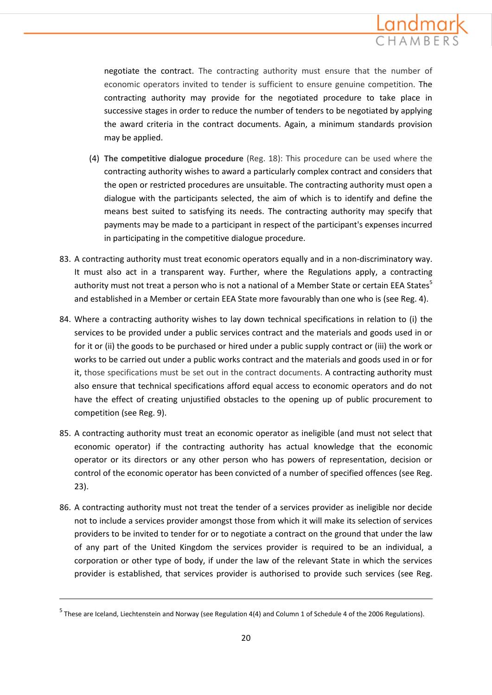

negotiate the contract. The contracting authority must ensure that the number of economic operators invited to tender is sufficient to ensure genuine competition. The contracting authority may provide for the negotiated procedure to take place in successive stages in order to reduce the number of tenders to be negotiated by applying the award criteria in the contract documents. Again, a minimum standards provision may be applied.

- (4) **The competitive dialogue procedure** (Reg. 18): This procedure can be used where the contracting authority wishes to award a particularly complex contract and considers that the open or restricted procedures are unsuitable. The contracting authority must open a dialogue with the participants selected, the aim of which is to identify and define the means best suited to satisfying its needs. The contracting authority may specify that payments may be made to a participant in respect of the participant's expenses incurred in participating in the competitive dialogue procedure.
- 83. A contracting authority must treat economic operators equally and in a non-discriminatory way. It must also act in a transparent way. Further, where the Regulations apply, a contracting authority must not treat a person who is not a national of a Member State or certain EEA States<sup>5</sup> and established in a Member or certain EEA State more favourably than one who is (see Reg. 4).
- 84. Where a contracting authority wishes to lay down technical specifications in relation to (i) the services to be provided under a public services contract and the materials and goods used in or for it or (ii) the goods to be purchased or hired under a public supply contract or (iii) the work or works to be carried out under a public works contract and the materials and goods used in or for it, those specifications must be set out in the contract documents. A contracting authority must also ensure that technical specifications afford equal access to economic operators and do not have the effect of creating unjustified obstacles to the opening up of public procurement to competition (see Reg. 9).
- 85. A contracting authority must treat an economic operator as ineligible (and must not select that economic operator) if the contracting authority has actual knowledge that the economic operator or its directors or any other person who has powers of representation, decision or control of the economic operator has been convicted of a number of specified offences (see Reg. 23).
- 86. A contracting authority must not treat the tender of a services provider as ineligible nor decide not to include a services provider amongst those from which it will make its selection of services providers to be invited to tender for or to negotiate a contract on the ground that under the law of any part of the United Kingdom the services provider is required to be an individual, a corporation or other type of body, if under the law of the relevant State in which the services provider is established, that services provider is authorised to provide such services (see Reg.

**.** 

<sup>&</sup>lt;sup>5</sup> These are Iceland, Liechtenstein and Norway (see Regulation 4(4) and Column 1 of Schedule 4 of the 2006 Regulations).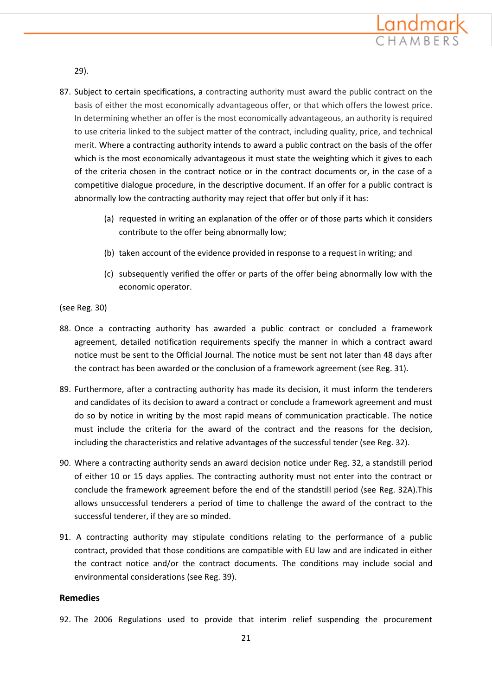

29).

- 87. Subject to certain specifications, a contracting authority must award the public contract on the basis of either the most economically advantageous offer, or that which offers the lowest price. In determining whether an offer is the most economically advantageous, an authority is required to use criteria linked to the subject matter of the contract, including quality, price, and technical merit. Where a contracting authority intends to award a public contract on the basis of the offer which is the most economically advantageous it must state the weighting which it gives to each of the criteria chosen in the contract notice or in the contract documents or, in the case of a competitive dialogue procedure, in the descriptive document. If an offer for a public contract is abnormally low the contracting authority may reject that offer but only if it has:
	- (a) requested in writing an explanation of the offer or of those parts which it considers contribute to the offer being abnormally low;
	- (b) taken account of the evidence provided in response to a request in writing; and
	- (c) subsequently verified the offer or parts of the offer being abnormally low with the economic operator.

#### (see Reg. 30)

- 88. Once a contracting authority has awarded a public contract or concluded a framework agreement, detailed notification requirements specify the manner in which a contract award notice must be sent to the Official Journal. The notice must be sent not later than 48 days after the contract has been awarded or the conclusion of a framework agreement (see Reg. 31).
- 89. Furthermore, after a contracting authority has made its decision, it must inform the tenderers and candidates of its decision to award a contract or conclude a framework agreement and must do so by notice in writing by the most rapid means of communication practicable. The notice must include the criteria for the award of the contract and the reasons for the decision, including the characteristics and relative advantages of the successful tender (see Reg. 32).
- 90. Where a contracting authority sends an award decision notice under Reg. 32, a standstill period of either 10 or 15 days applies. The contracting authority must not enter into the contract or conclude the framework agreement before the end of the standstill period (see Reg. 32A).This allows unsuccessful tenderers a period of time to challenge the award of the contract to the successful tenderer, if they are so minded.
- 91. A contracting authority may stipulate conditions relating to the performance of a public contract, provided that those conditions are compatible with EU law and are indicated in either the contract notice and/or the contract documents. The conditions may include social and environmental considerations (see Reg. 39).

### **Remedies**

92. The 2006 Regulations used to provide that interim relief suspending the procurement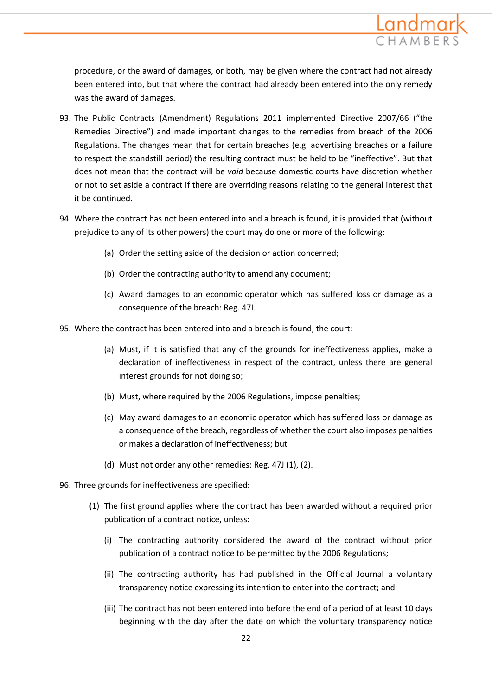

procedure, or the award of damages, or both, may be given where the contract had not already been entered into, but that where the contract had already been entered into the only remedy was the award of damages.

- 93. The Public Contracts (Amendment) Regulations 2011 implemented Directive 2007/66 ("the Remedies Directive") and made important changes to the remedies from breach of the 2006 Regulations. The changes mean that for certain breaches (e.g. advertising breaches or a failure to respect the standstill period) the resulting contract must be held to be "ineffective". But that does not mean that the contract will be *void* because domestic courts have discretion whether or not to set aside a contract if there are overriding reasons relating to the general interest that it be continued.
- 94. Where the contract has not been entered into and a breach is found, it is provided that (without prejudice to any of its other powers) the court may do one or more of the following:
	- (a) Order the setting aside of the decision or action concerned;
	- (b) Order the contracting authority to amend any document;
	- (c) Award damages to an economic operator which has suffered loss or damage as a consequence of the breach: Reg. 47I.
- 95. Where the contract has been entered into and a breach is found, the court:
	- (a) Must, if it is satisfied that any of the grounds for ineffectiveness applies, make a declaration of ineffectiveness in respect of the contract, unless there are general interest grounds for not doing so;
	- (b) Must, where required by the 2006 Regulations, impose penalties;
	- (c) May award damages to an economic operator which has suffered loss or damage as a consequence of the breach, regardless of whether the court also imposes penalties or makes a declaration of ineffectiveness; but
	- (d) Must not order any other remedies: Reg. 47J (1), (2).
- 96. Three grounds for ineffectiveness are specified:
	- (1) The first ground applies where the contract has been awarded without a required prior publication of a contract notice, unless:
		- (i) The contracting authority considered the award of the contract without prior publication of a contract notice to be permitted by the 2006 Regulations;
		- (ii) The contracting authority has had published in the Official Journal a voluntary transparency notice expressing its intention to enter into the contract; and
		- (iii) The contract has not been entered into before the end of a period of at least 10 days beginning with the day after the date on which the voluntary transparency notice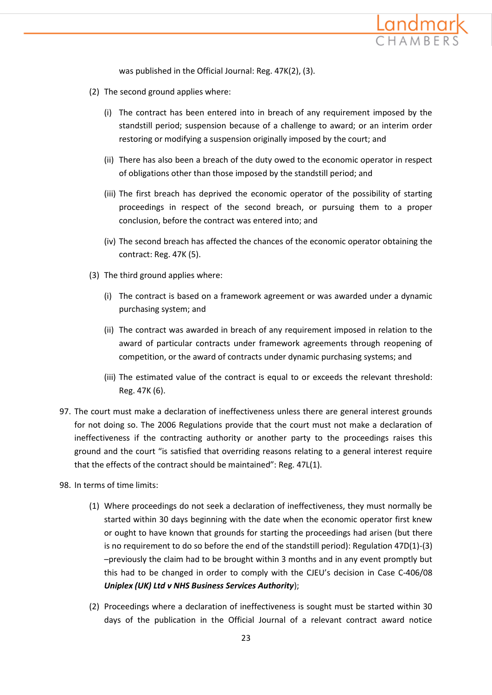

was published in the Official Journal: Reg. 47K(2), (3).

- (2) The second ground applies where:
	- (i) The contract has been entered into in breach of any requirement imposed by the standstill period; suspension because of a challenge to award; or an interim order restoring or modifying a suspension originally imposed by the court; and
	- (ii) There has also been a breach of the duty owed to the economic operator in respect of obligations other than those imposed by the standstill period; and
	- (iii) The first breach has deprived the economic operator of the possibility of starting proceedings in respect of the second breach, or pursuing them to a proper conclusion, before the contract was entered into; and
	- (iv) The second breach has affected the chances of the economic operator obtaining the contract: Reg. 47K (5).
- (3) The third ground applies where:
	- (i) The contract is based on a framework agreement or was awarded under a dynamic purchasing system; and
	- (ii) The contract was awarded in breach of any requirement imposed in relation to the award of particular contracts under framework agreements through reopening of competition, or the award of contracts under dynamic purchasing systems; and
	- (iii) The estimated value of the contract is equal to or exceeds the relevant threshold: Reg. 47K (6).
- 97. The court must make a declaration of ineffectiveness unless there are general interest grounds for not doing so. The 2006 Regulations provide that the court must not make a declaration of ineffectiveness if the contracting authority or another party to the proceedings raises this ground and the court "is satisfied that overriding reasons relating to a general interest require that the effects of the contract should be maintained": Reg. 47L(1).
- 98. In terms of time limits:
	- (1) Where proceedings do not seek a declaration of ineffectiveness, they must normally be started within 30 days beginning with the date when the economic operator first knew or ought to have known that grounds for starting the proceedings had arisen (but there is no requirement to do so before the end of the standstill period): Regulation 47D(1)-(3) –previously the claim had to be brought within 3 months and in any event promptly but this had to be changed in order to comply with the CJEU's decision in Case C-406/08 *Uniplex (UK) Ltd v NHS Business Services Authority*);
	- (2) Proceedings where a declaration of ineffectiveness is sought must be started within 30 days of the publication in the Official Journal of a relevant contract award notice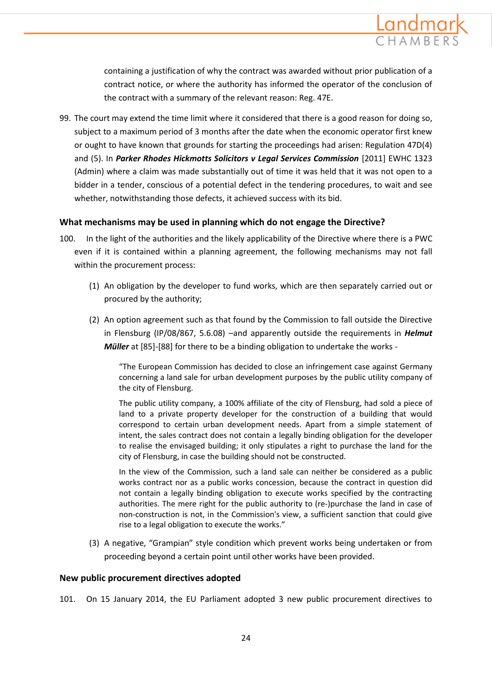

containing a justification of why the contract was awarded without prior publication of a contract notice, or where the authority has informed the operator of the conclusion of the contract with a summary of the relevant reason: Reg. 47E.

99. The court may extend the time limit where it considered that there is a good reason for doing so, subject to a maximum period of 3 months after the date when the economic operator first knew or ought to have known that grounds for starting the proceedings had arisen: Regulation 47D(4) and (5). In *Parker Rhodes Hickmotts Solicitors v Legal Services Commission* [2011] EWHC 1323 (Admin) where a claim was made substantially out of time it was held that it was not open to a bidder in a tender, conscious of a potential defect in the tendering procedures, to wait and see whether, notwithstanding those defects, it achieved success with its bid.

#### **What mechanisms may be used in planning which do not engage the Directive?**

- 100. In the light of the authorities and the likely applicability of the Directive where there is a PWC even if it is contained within a planning agreement, the following mechanisms may not fall within the procurement process:
	- (1) An obligation by the developer to fund works, which are then separately carried out or procured by the authority;
	- (2) An option agreement such as that found by the Commission to fall outside the Directive in Flensburg (IP/08/867, 5.6.08) –and apparently outside the requirements in *Helmut Müller* at [85]-[88] for there to be a binding obligation to undertake the works -

"The European Commission has decided to close an infringement case against Germany concerning a land sale for urban development purposes by the public utility company of the city of Flensburg.

The public utility company, a 100% affiliate of the city of Flensburg, had sold a piece of land to a private property developer for the construction of a building that would correspond to certain urban development needs. Apart from a simple statement of intent, the sales contract does not contain a legally binding obligation for the developer to realise the envisaged building; it only stipulates a right to purchase the land for the city of Flensburg, in case the building should not be constructed.

In the view of the Commission, such a land sale can neither be considered as a public works contract nor as a public works concession, because the contract in question did not contain a legally binding obligation to execute works specified by the contracting authorities. The mere right for the public authority to (re‐)purchase the land in case of non‐construction is not, in the Commission's view, a sufficient sanction that could give rise to a legal obligation to execute the works."

(3) A negative, "Grampian" style condition which prevent works being undertaken or from proceeding beyond a certain point until other works have been provided.

#### **New public procurement directives adopted**

101. On 15 January 2014, the EU Parliament adopted 3 new public procurement directives to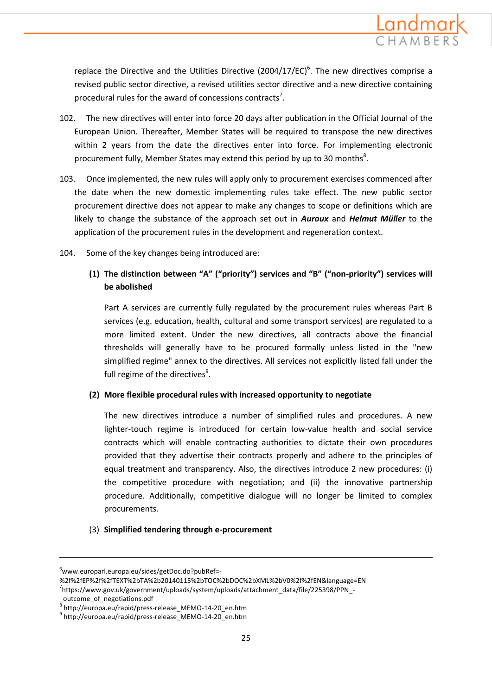

replace the Directive and the Utilities Directive (2004/17/EC)<sup>6</sup>. The new directives comprise a revised public sector directive, a revised utilities sector directive and a new directive containing procedural rules for the award of concessions contracts<sup>7</sup>.

- 102. The new directives will enter into force 20 days after publication in the Official Journal of the European Union. Thereafter, Member States will be required to transpose the new directives within 2 years from the date the directives enter into force. For implementing electronic procurement fully, Member States may extend this period by up to 30 months<sup>8</sup>.
- 103. Once implemented, the new rules will apply only to procurement exercises commenced after the date when the new domestic implementing rules take effect. The new public sector procurement directive does not appear to make any changes to scope or definitions which are likely to change the substance of the approach set out in *Auroux* and *Helmut Müller* to the application of the procurement rules in the development and regeneration context.
- 104. Some of the key changes being introduced are:

## **(1) The distinction between "A" ("priority") services and "B" ("non-priority") services will be abolished**

Part A services are currently fully regulated by the procurement rules whereas Part B services (e.g. education, health, cultural and some transport services) are regulated to a more limited extent. Under the new directives, all contracts above the financial thresholds will generally have to be procured formally unless listed in the "new simplified regime" annex to the directives. All services not explicitly listed fall under the full regime of the directives<sup>9</sup>.

#### **(2) More flexible procedural rules with increased opportunity to negotiate**

The new directives introduce a number of simplified rules and procedures. A new lighter-touch regime is introduced for certain low-value health and social service contracts which will enable contracting authorities to dictate their own procedures provided that they advertise their contracts properly and adhere to the principles of equal treatment and transparency. Also, the directives introduce 2 new procedures: (i) the competitive procedure with negotiation; and (ii) the innovative partnership procedure. Additionally, competitive dialogue will no longer be limited to complex procurements.

#### (3) **Simplified tendering through e-procurement**

 $\overline{a}$ 

 $6$ www.europarl.europa.eu/sides/getDoc.do?pubRef=-

<sup>%2</sup>f%2fEP%2f%2fTEXT%2bTA%2b20140115%2bTOC%2bDOC%2bXML%2bV0%2f%2fEN&language=EN

<sup>&</sup>lt;sup>7</sup>https://www.gov.uk/government/uploads/system/uploads/attachment\_data/file/225398/PPN\_-

\_outcome\_of\_negotiations.pdf 8 http://europa.eu/rapid/press-release\_MEMO-14-20\_en.htm

<sup>9</sup> http://europa.eu/rapid/press-release\_MEMO-14-20\_en.htm